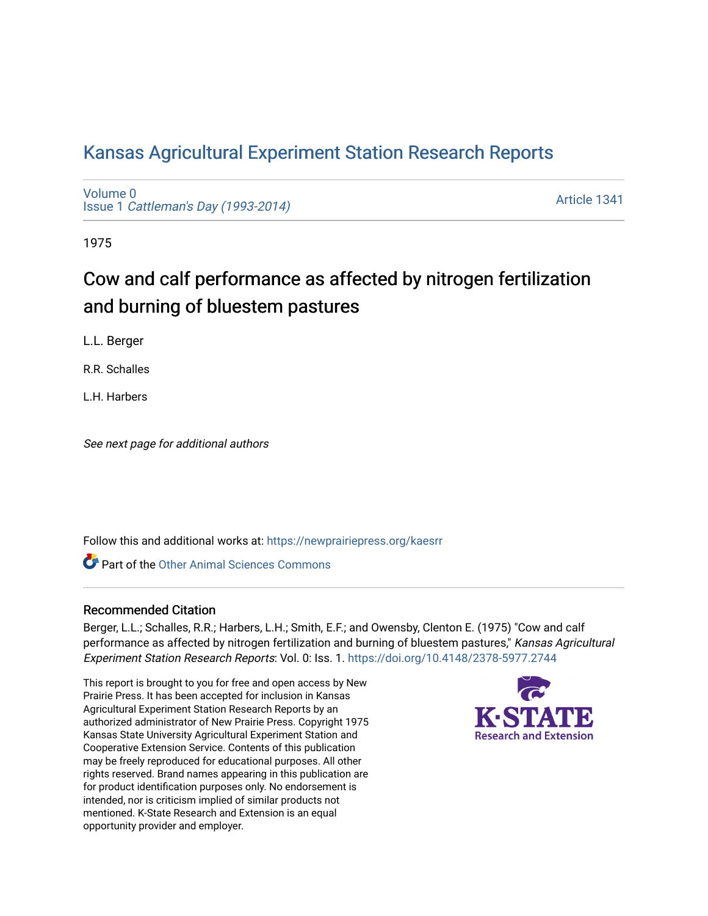## [Kansas Agricultural Experiment Station Research Reports](https://newprairiepress.org/kaesrr)

[Volume 0](https://newprairiepress.org/kaesrr/vol0) Issue 1 [Cattleman's Day \(1993-2014\)](https://newprairiepress.org/kaesrr/vol0/iss1) 

[Article 1341](https://newprairiepress.org/kaesrr/vol0/iss1/1341) 

1975

# Cow and calf performance as affected by nitrogen fertilization and burning of bluestem pastures

L.L. Berger

R.R. Schalles

L.H. Harbers

See next page for additional authors

Follow this and additional works at: [https://newprairiepress.org/kaesrr](https://newprairiepress.org/kaesrr?utm_source=newprairiepress.org%2Fkaesrr%2Fvol0%2Fiss1%2F1341&utm_medium=PDF&utm_campaign=PDFCoverPages) 

**C** Part of the [Other Animal Sciences Commons](http://network.bepress.com/hgg/discipline/82?utm_source=newprairiepress.org%2Fkaesrr%2Fvol0%2Fiss1%2F1341&utm_medium=PDF&utm_campaign=PDFCoverPages)

#### Recommended Citation

Berger, L.L.; Schalles, R.R.; Harbers, L.H.; Smith, E.F.; and Owensby, Clenton E. (1975) "Cow and calf performance as affected by nitrogen fertilization and burning of bluestem pastures," Kansas Agricultural Experiment Station Research Reports: Vol. 0: Iss. 1. <https://doi.org/10.4148/2378-5977.2744>

This report is brought to you for free and open access by New Prairie Press. It has been accepted for inclusion in Kansas Agricultural Experiment Station Research Reports by an authorized administrator of New Prairie Press. Copyright 1975 Kansas State University Agricultural Experiment Station and Cooperative Extension Service. Contents of this publication may be freely reproduced for educational purposes. All other rights reserved. Brand names appearing in this publication are for product identification purposes only. No endorsement is intended, nor is criticism implied of similar products not mentioned. K-State Research and Extension is an equal opportunity provider and employer.

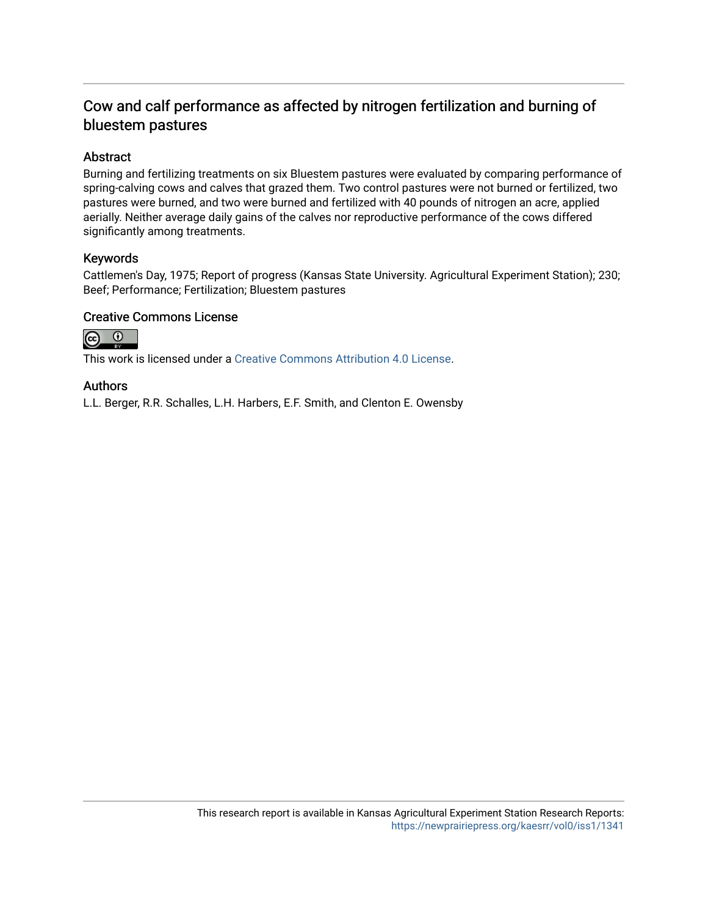### Cow and calf performance as affected by nitrogen fertilization and burning of bluestem pastures

#### Abstract

Burning and fertilizing treatments on six Bluestem pastures were evaluated by comparing performance of spring-calving cows and calves that grazed them. Two control pastures were not burned or fertilized, two pastures were burned, and two were burned and fertilized with 40 pounds of nitrogen an acre, applied aerially. Neither average daily gains of the calves nor reproductive performance of the cows differed significantly among treatments.

#### Keywords

Cattlemen's Day, 1975; Report of progress (Kansas State University. Agricultural Experiment Station); 230; Beef; Performance; Fertilization; Bluestem pastures

#### Creative Commons License



This work is licensed under a [Creative Commons Attribution 4.0 License](https://creativecommons.org/licenses/by/4.0/).

#### Authors

L.L. Berger, R.R. Schalles, L.H. Harbers, E.F. Smith, and Clenton E. Owensby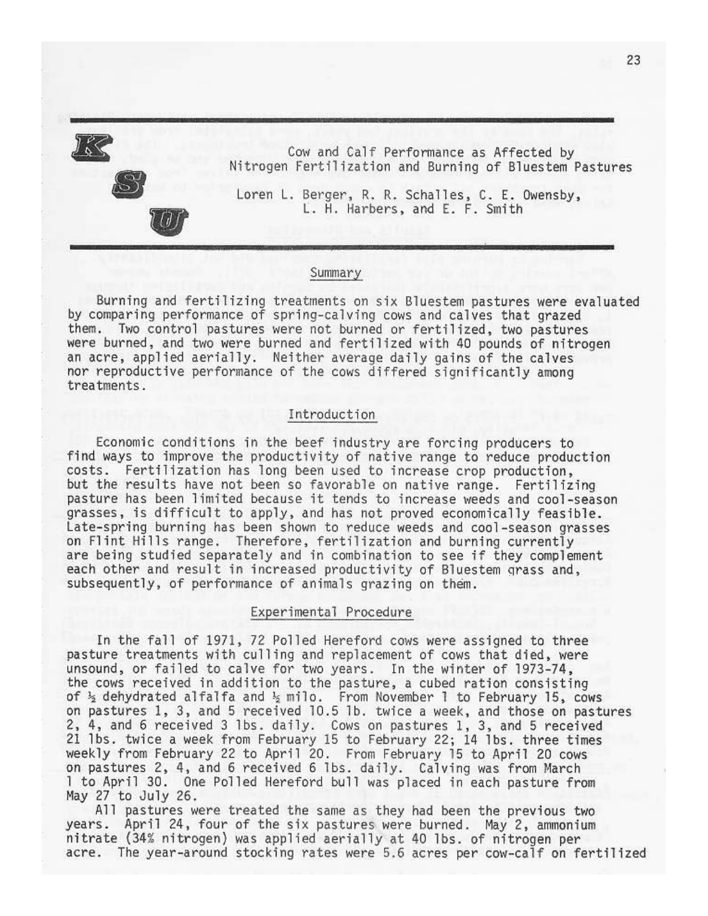

Cow and Calf Performance as Affected by Nitrogen Fertilization and Burning of Bluestem Pastures

Loren L. Berger, R. R. Schalles, C. E. Owensby, L. H. Harbers, and E. F. Smith

#### Summary

Burning and fertilizing treatments on six Bluestem pastures were evaluated by comparing performance of spring-calving cows and calves that grazed them. Two control pastures were not burned or fertilized, two pastures were burned, and two were burned and fertilized with 40 pounds of nitrogen an acre, applied aerially. Neither average daily gains of the calves nor reproductive performance of the cows differed significantly among treatments.

#### Introduction

Economic conditions in the beef industry are forcing producers to find ways to improve the productivity of native range to reduce production costs. Fertilization has long been used to increase crop production, but the results have not been so favorable on native range. Fertilizing pasture has been limited because it tends to increase weeds and cool-season grasses, is difficult to apply, and has not proved economically feasible. Late-spring burning has been shown to reduce weeds and cool-season grasses on Flint Hills range. Therefore, fertilization and burning currently are being studied separately and in combination to see if they complement each other and result in increased productivity of Bluestem grass and, subsequently, of performance of animals grazing on them.

#### Experimental Procedure

In the fall of 1971, 72 Polled Hereford cows were assigned to three pasture treatments with culling and replacement of cows that died, were unsound, or failed to calve for two years. In the winter of 1973-74, the cows received in addition to the pasture, a cubed ration consisting of  $\frac{1}{2}$  dehydrated alfalfa and  $\frac{1}{2}$  milo. From November 1 to February 15, cows on pastures 1, 3, and 5 received 10.5 lb. twice a week, and those on pastures 2, 4, and 6 received 3 lbs. daily. Cows on pastures 1, 3, and 5 received 21 lbs. twice a week from February 15 to February 22; 14 lbs. three times weekly from February 22 to April 20. From February 15 to April 20 cows on pastures 2, 4, and 6 received 6 lbs. daily. Calving was from March 1 to April 30. One Polled Hereford bull was placed in each pasture from May 27 to July 26.

All pastures were treated the same as they had been the previous two years. April 24, four of the six pastures were burned. May 2, ammonium nitrate (34% nitrogen) was applied aerially at 40 lbs. of nitrogen per acre. The year-around stocking rates were 5.6 acres per cow-calf on fertilized